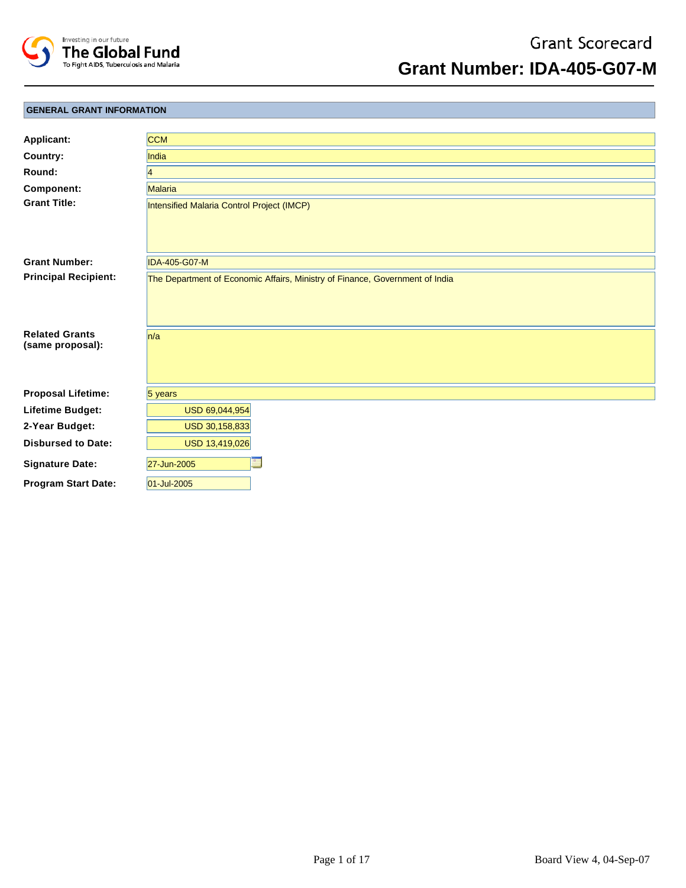

**Grant Number: IDA-405-G07-M**

## **GENERAL GRANT INFORMATION**

| <b>Applicant:</b>                         | <b>CCM</b>                                                                   |
|-------------------------------------------|------------------------------------------------------------------------------|
| Country:                                  | <b>India</b>                                                                 |
| Round:                                    | 4                                                                            |
| Component:                                | <b>Malaria</b>                                                               |
| <b>Grant Title:</b>                       | Intensified Malaria Control Project (IMCP)                                   |
| <b>Grant Number:</b>                      | <b>IDA-405-G07-M</b>                                                         |
| <b>Principal Recipient:</b>               | The Department of Economic Affairs, Ministry of Finance, Government of India |
| <b>Related Grants</b><br>(same proposal): | n/a                                                                          |
| <b>Proposal Lifetime:</b>                 | $5$ years                                                                    |
| Lifetime Budget:                          | USD 69,044,954                                                               |
| 2-Year Budget:                            | USD 30,158,833                                                               |
| <b>Disbursed to Date:</b>                 | USD 13,419,026                                                               |
| <b>Signature Date:</b>                    | 27-Jun-2005                                                                  |
| <b>Program Start Date:</b>                | 01-Jul-2005                                                                  |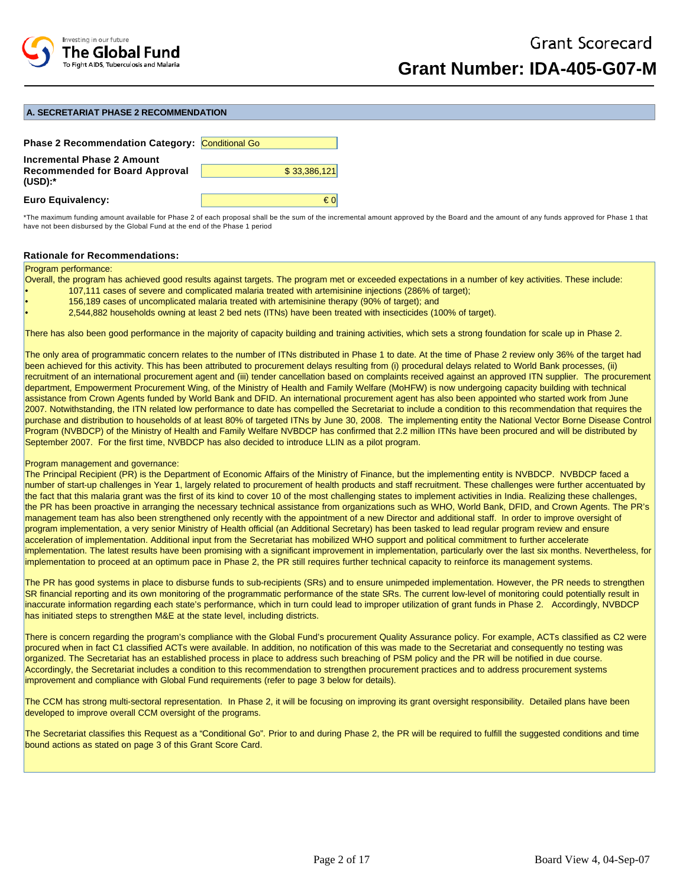

#### **A. SECRETARIAT PHASE 2 RECOMMENDATION**

| <b>Phase 2 Recommendation Category: Conditional Go</b>                           |              |
|----------------------------------------------------------------------------------|--------------|
| Incremental Phase 2 Amount<br><b>Recommended for Board Approval</b><br>$(USD):*$ | \$33,386,121 |
| <b>Euro Equivalency:</b>                                                         | € ∩          |

\*The maximum funding amount available for Phase 2 of each proposal shall be the sum of the incremental amount approved by the Board and the amount of any funds approved for Phase 1 that have not been disbursed by the Global Fund at the end of the Phase 1 period

### **Rationale for Recommendations:**

#### Program performance:

Overall, the program has achieved good results against targets. The program met or exceeded expectations in a number of key activities. These include:

- 107,111 cases of severe and complicated malaria treated with artemisinine injections (286% of target);
- 156,189 cases of uncomplicated malaria treated with artemisinine therapy (90% of target); and
- 2,544,882 households owning at least 2 bed nets (ITNs) have been treated with insecticides (100% of target).

There has also been good performance in the majority of capacity building and training activities, which sets a strong foundation for scale up in Phase 2.

The only area of programmatic concern relates to the number of ITNs distributed in Phase 1 to date. At the time of Phase 2 review only 36% of the target had been achieved for this activity. This has been attributed to procurement delays resulting from (i) procedural delays related to World Bank processes, (ii) recruitment of an international procurement agent and (iii) tender cancellation based on complaints received against an approved ITN supplier. The procurement department, Empowerment Procurement Wing, of the Ministry of Health and Family Welfare (MoHFW) is now undergoing capacity building with technical assistance from Crown Agents funded by World Bank and DFID. An international procurement agent has also been appointed who started work from June 2007. Notwithstanding, the ITN related low performance to date has compelled the Secretariat to include a condition to this recommendation that requires the purchase and distribution to households of at least 80% of targeted ITNs by June 30, 2008. The implementing entity the National Vector Borne Disease Control Program (NVBDCP) of the Ministry of Health and Family Welfare NVBDCP has confirmed that 2.2 million ITNs have been procured and will be distributed by September 2007. For the first time, NVBDCP has also decided to introduce LLIN as a pilot program.

#### Program management and governance:

The Principal Recipient (PR) is the Department of Economic Affairs of the Ministry of Finance, but the implementing entity is NVBDCP. NVBDCP faced a number of start-up challenges in Year 1, largely related to procurement of health products and staff recruitment. These challenges were further accentuated by the fact that this malaria grant was the first of its kind to cover 10 of the most challenging states to implement activities in India. Realizing these challenges, the PR has been proactive in arranging the necessary technical assistance from organizations such as WHO, World Bank, DFID, and Crown Agents. The PR's management team has also been strengthened only recently with the appointment of a new Director and additional staff. In order to improve oversight of program implementation, a very senior Ministry of Health official (an Additional Secretary) has been tasked to lead regular program review and ensure acceleration of implementation. Additional input from the Secretariat has mobilized WHO support and political commitment to further accelerate implementation. The latest results have been promising with a significant improvement in implementation, particularly over the last six months. Nevertheless, for implementation to proceed at an optimum pace in Phase 2, the PR still requires further technical capacity to reinforce its management systems.

The PR has good systems in place to disburse funds to sub-recipients (SRs) and to ensure unimpeded implementation. However, the PR needs to strengthen SR financial reporting and its own monitoring of the programmatic performance of the state SRs. The current low-level of monitoring could potentially result in inaccurate information regarding each state's performance, which in turn could lead to improper utilization of grant funds in Phase 2. Accordingly, NVBDCP has initiated steps to strengthen M&E at the state level, including districts.

There is concern regarding the program's compliance with the Global Fund's procurement Quality Assurance policy. For example, ACTs classified as C2 were procured when in fact C1 classified ACTs were available. In addition, no notification of this was made to the Secretariat and consequently no testing was organized. The Secretariat has an established process in place to address such breaching of PSM policy and the PR will be notified in due course. Accordingly, the Secretariat includes a condition to this recommendation to strengthen procurement practices and to address procurement systems improvement and compliance with Global Fund requirements (refer to page 3 below for details).

The CCM has strong multi-sectoral representation. In Phase 2, it will be focusing on improving its grant oversight responsibility. Detailed plans have been developed to improve overall CCM oversight of the programs.

The Secretariat classifies this Request as a "Conditional Go". Prior to and during Phase 2, the PR will be required to fulfill the suggested conditions and time bound actions as stated on page 3 of this Grant Score Card.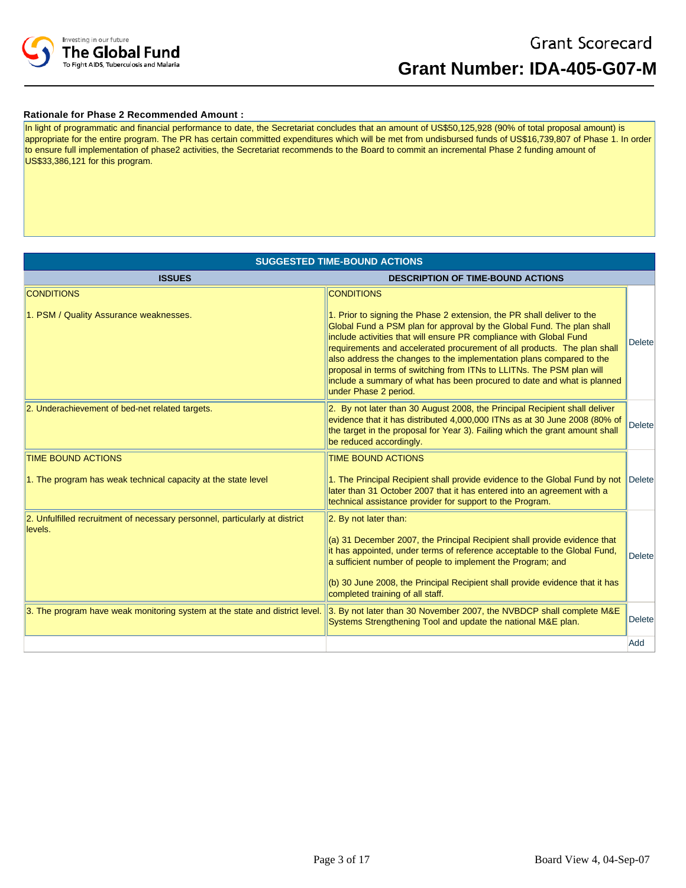

## **Rationale for Phase 2 Recommended Amount :**

In light of programmatic and financial performance to date, the Secretariat concludes that an amount of US\$50,125,928 (90% of total proposal amount) is appropriate for the entire program. The PR has certain committed expenditures which will be met from undisbursed funds of US\$16,739,807 of Phase 1. In order to ensure full implementation of phase2 activities, the Secretariat recommends to the Board to commit an incremental Phase 2 funding amount of US\$33,386,121 for this program.

| <b>SUGGESTED TIME-BOUND ACTIONS</b>                                                    |                                                                                                                                                                                                                                                                                                                                                                                                                                                                                                                                                         |                |  |  |  |  |
|----------------------------------------------------------------------------------------|---------------------------------------------------------------------------------------------------------------------------------------------------------------------------------------------------------------------------------------------------------------------------------------------------------------------------------------------------------------------------------------------------------------------------------------------------------------------------------------------------------------------------------------------------------|----------------|--|--|--|--|
| <b>ISSUES</b>                                                                          | <b>DESCRIPTION OF TIME-BOUND ACTIONS</b>                                                                                                                                                                                                                                                                                                                                                                                                                                                                                                                |                |  |  |  |  |
| <b>CONDITIONS</b>                                                                      | <b>CONDITIONS</b>                                                                                                                                                                                                                                                                                                                                                                                                                                                                                                                                       |                |  |  |  |  |
| 1. PSM / Quality Assurance weaknesses.                                                 | 1. Prior to signing the Phase 2 extension, the PR shall deliver to the<br>Global Fund a PSM plan for approval by the Global Fund. The plan shall<br>include activities that will ensure PR compliance with Global Fund<br>requirements and accelerated procurement of all products. The plan shall<br>also address the changes to the implementation plans compared to the<br>proposal in terms of switching from ITNs to LLITNs. The PSM plan will<br>include a summary of what has been procured to date and what is planned<br>under Phase 2 period. | <b>Delete</b>  |  |  |  |  |
| 2. Underachievement of bed-net related targets.                                        | 2. By not later than 30 August 2008, the Principal Recipient shall deliver<br>evidence that it has distributed 4,000,000 ITNs as at 30 June 2008 (80% of<br>the target in the proposal for Year 3). Failing which the grant amount shall<br>be reduced accordingly.                                                                                                                                                                                                                                                                                     | <b>Deletel</b> |  |  |  |  |
| <b>TIME BOUND ACTIONS</b>                                                              | <b>TIME BOUND ACTIONS</b>                                                                                                                                                                                                                                                                                                                                                                                                                                                                                                                               |                |  |  |  |  |
| 1. The program has weak technical capacity at the state level                          | 1. The Principal Recipient shall provide evidence to the Global Fund by not<br>later than 31 October 2007 that it has entered into an agreement with a<br>technical assistance provider for support to the Program.                                                                                                                                                                                                                                                                                                                                     | Delete         |  |  |  |  |
| 2. Unfulfilled recruitment of necessary personnel, particularly at district<br>levels. | 2. By not later than:                                                                                                                                                                                                                                                                                                                                                                                                                                                                                                                                   |                |  |  |  |  |
|                                                                                        | (a) 31 December 2007, the Principal Recipient shall provide evidence that<br>it has appointed, under terms of reference acceptable to the Global Fund,<br>a sufficient number of people to implement the Program; and                                                                                                                                                                                                                                                                                                                                   | <b>Delete</b>  |  |  |  |  |
|                                                                                        | (b) 30 June 2008, the Principal Recipient shall provide evidence that it has<br>completed training of all staff.                                                                                                                                                                                                                                                                                                                                                                                                                                        |                |  |  |  |  |
| 3. The program have weak monitoring system at the state and district level.            | 3. By not later than 30 November 2007, the NVBDCP shall complete M&E<br>Systems Strengthening Tool and update the national M&E plan.                                                                                                                                                                                                                                                                                                                                                                                                                    | <b>Deletel</b> |  |  |  |  |
|                                                                                        |                                                                                                                                                                                                                                                                                                                                                                                                                                                                                                                                                         | Add            |  |  |  |  |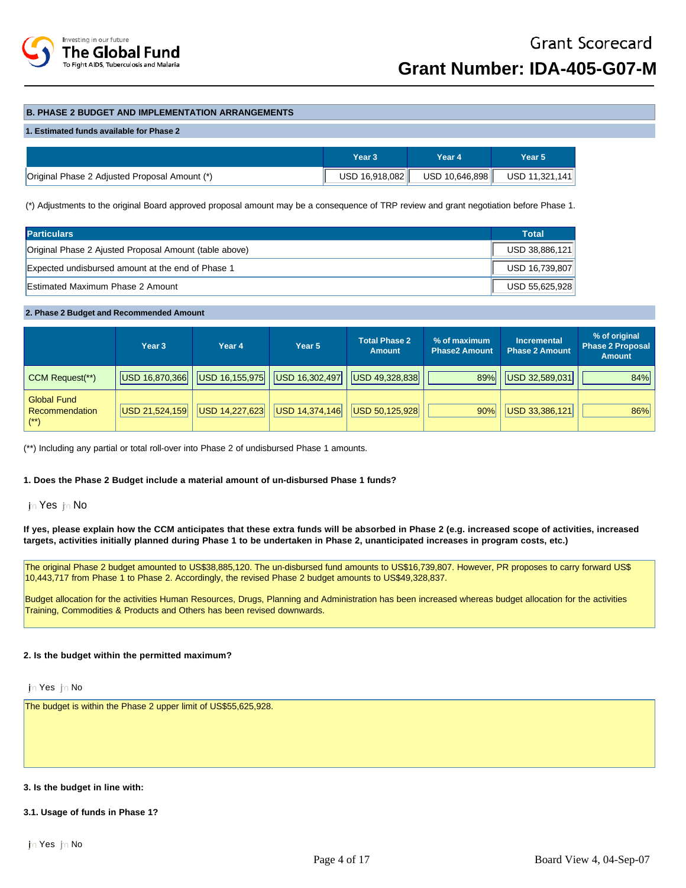

## **B. PHASE 2 BUDGET AND IMPLEMENTATION ARRANGEMENTS**

#### **1. Estimated funds available for Phase 2**

|                                               | Year 3          | Year 4         | Year 5'        |
|-----------------------------------------------|-----------------|----------------|----------------|
| Original Phase 2 Adjusted Proposal Amount (*) | USD 16,918,082∥ | USD 10,646,898 | USD 11,321,141 |

(\*) Adjustments to the original Board approved proposal amount may be a consequence of TRP review and grant negotiation before Phase 1.

| <b>Particulars</b>                                     | <b>Total</b>   |
|--------------------------------------------------------|----------------|
| Original Phase 2 Ajusted Proposal Amount (table above) | USD 38.886.121 |
| Expected undisbursed amount at the end of Phase 1      | USD 16,739,807 |
| Estimated Maximum Phase 2 Amount                       | USD 55.625.928 |

#### **2. Phase 2 Budget and Recommended Amount**

|                                                  | Year <sub>3</sub> | Year 4         | Year 5         | <b>Total Phase 2</b><br><b>Amount</b> | % of maximum<br><b>Phase2 Amount</b> | <b>Incremental</b><br><b>Phase 2 Amount</b> | % of original<br>Phase 2 Proposal<br><b>Amount</b> |
|--------------------------------------------------|-------------------|----------------|----------------|---------------------------------------|--------------------------------------|---------------------------------------------|----------------------------------------------------|
| CCM Request(**)                                  | USD 16,870,366    | USD 16,155,975 | USD 16,302,497 | USD 49,328,838                        | 89%                                  | USD 32,589,031                              | 84%                                                |
| <b>Global Fund</b><br>Recommendation<br>$^{(*)}$ | USD 21,524,159    | USD 14,227,623 | USD 14,374,146 | USD 50,125,928                        | 90%                                  | USD 33,386,121                              | 86%                                                |

(\*\*) Including any partial or total roll-over into Phase 2 of undisbursed Phase 1 amounts.

## **1. Does the Phase 2 Budget include a material amount of un-disbursed Phase 1 funds?**

## in Yes in No

**If yes, please explain how the CCM anticipates that these extra funds will be absorbed in Phase 2 (e.g. increased scope of activities, increased targets, activities initially planned during Phase 1 to be undertaken in Phase 2, unanticipated increases in program costs, etc.)** 

The original Phase 2 budget amounted to US\$38,885,120. The un-disbursed fund amounts to US\$16,739,807. However, PR proposes to carry forward US\$ 10,443,717 from Phase 1 to Phase 2. Accordingly, the revised Phase 2 budget amounts to US\$49,328,837.

Budget allocation for the activities Human Resources, Drugs, Planning and Administration has been increased whereas budget allocation for the activities Training, Commodities & Products and Others has been revised downwards.

#### **2. Is the budget within the permitted maximum?**

in Yes in No

The budget is within the Phase 2 upper limit of US\$55,625,928.

#### **3. Is the budget in line with:**

### **3.1. Usage of funds in Phase 1?**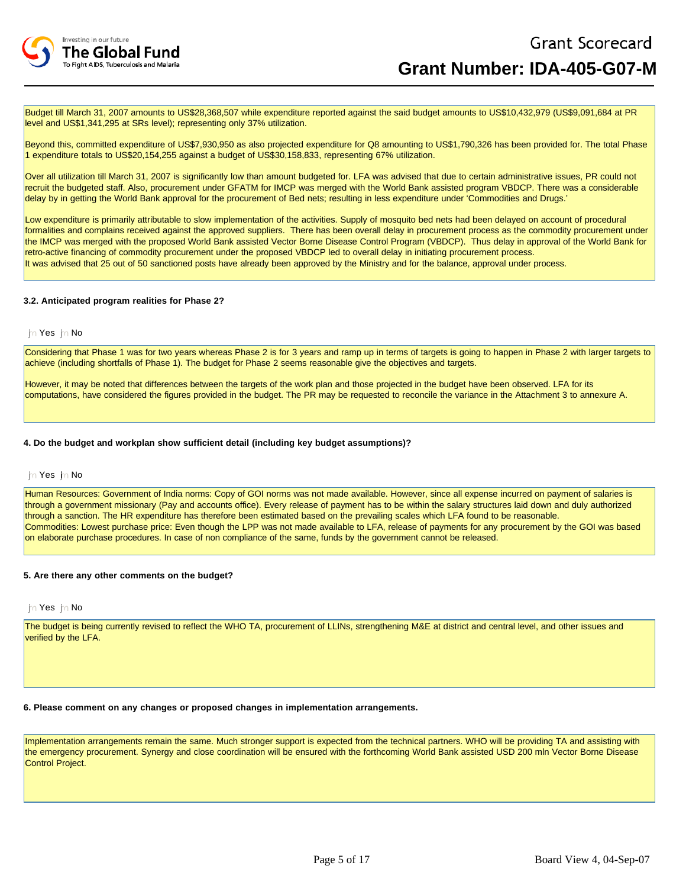

Budget till March 31, 2007 amounts to US\$28,368,507 while expenditure reported against the said budget amounts to US\$10,432,979 (US\$9,091,684 at PR level and US\$1,341,295 at SRs level); representing only 37% utilization.

Beyond this, committed expenditure of US\$7,930,950 as also projected expenditure for Q8 amounting to US\$1,790,326 has been provided for. The total Phase 1 expenditure totals to US\$20,154,255 against a budget of US\$30,158,833, representing 67% utilization.

Over all utilization till March 31, 2007 is significantly low than amount budgeted for. LFA was advised that due to certain administrative issues, PR could not recruit the budgeted staff. Also, procurement under GFATM for IMCP was merged with the World Bank assisted program VBDCP. There was a considerable delay by in getting the World Bank approval for the procurement of Bed nets; resulting in less expenditure under 'Commodities and Drugs.'

Low expenditure is primarily attributable to slow implementation of the activities. Supply of mosquito bed nets had been delayed on account of procedural formalities and complains received against the approved suppliers. There has been overall delay in procurement process as the commodity procurement under the IMCP was merged with the proposed World Bank assisted Vector Borne Disease Control Program (VBDCP). Thus delay in approval of the World Bank for retro-active financing of commodity procurement under the proposed VBDCP led to overall delay in initiating procurement process. It was advised that 25 out of 50 sanctioned posts have already been approved by the Ministry and for the balance, approval under process.

## **3.2. Anticipated program realities for Phase 2?**

### jn Yes jn No

Considering that Phase 1 was for two years whereas Phase 2 is for 3 years and ramp up in terms of targets is going to happen in Phase 2 with larger targets to achieve (including shortfalls of Phase 1). The budget for Phase 2 seems reasonable give the objectives and targets.

However, it may be noted that differences between the targets of the work plan and those projected in the budget have been observed. LFA for its computations, have considered the figures provided in the budget. The PR may be requested to reconcile the variance in the Attachment 3 to annexure A.

#### **4. Do the budget and workplan show sufficient detail (including key budget assumptions)?**

#### in Yes in No

Human Resources: Government of India norms: Copy of GOI norms was not made available. However, since all expense incurred on payment of salaries is through a government missionary (Pay and accounts office). Every release of payment has to be within the salary structures laid down and duly authorized through a sanction. The HR expenditure has therefore been estimated based on the prevailing scales which LFA found to be reasonable. Commodities: Lowest purchase price: Even though the LPP was not made available to LFA, release of payments for any procurement by the GOI was based on elaborate purchase procedures. In case of non compliance of the same, funds by the government cannot be released.

#### **5. Are there any other comments on the budget?**

#### in Yes in No

The budget is being currently revised to reflect the WHO TA, procurement of LLINs, strengthening M&E at district and central level, and other issues and verified by the LFA.

#### **6. Please comment on any changes or proposed changes in implementation arrangements.**

Implementation arrangements remain the same. Much stronger support is expected from the technical partners. WHO will be providing TA and assisting with the emergency procurement. Synergy and close coordination will be ensured with the forthcoming World Bank assisted USD 200 mln Vector Borne Disease Control Project.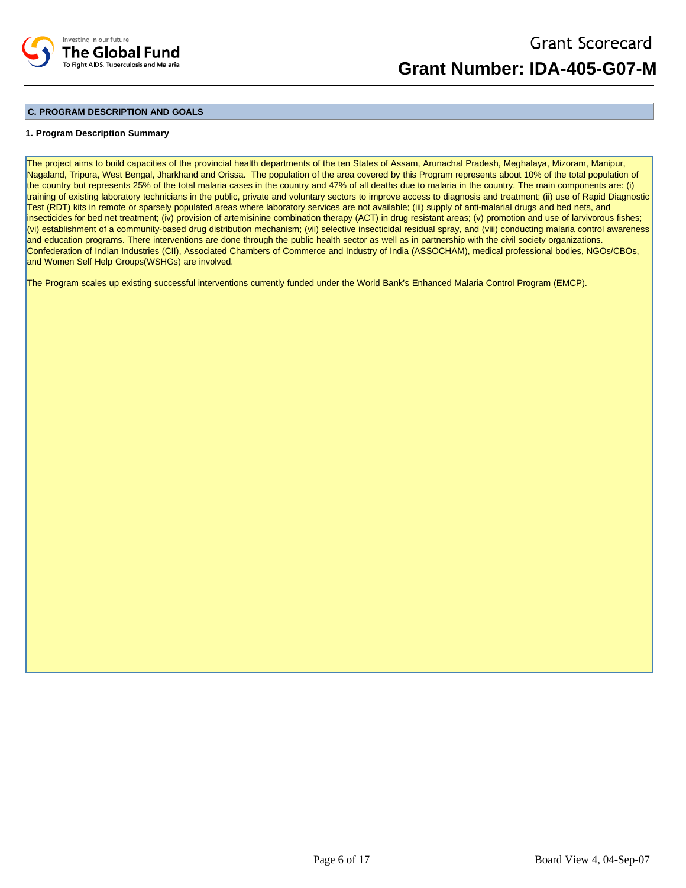

## **C. PROGRAM DESCRIPTION AND GOALS**

### **1. Program Description Summary**

The project aims to build capacities of the provincial health departments of the ten States of Assam, Arunachal Pradesh, Meghalaya, Mizoram, Manipur, Nagaland, Tripura, West Bengal, Jharkhand and Orissa. The population of the area covered by this Program represents about 10% of the total population of the country but represents 25% of the total malaria cases in the country and 47% of all deaths due to malaria in the country. The main components are: (i) training of existing laboratory technicians in the public, private and voluntary sectors to improve access to diagnosis and treatment; (ii) use of Rapid Diagnostic Test (RDT) kits in remote or sparsely populated areas where laboratory services are not available; (iii) supply of anti-malarial drugs and bed nets, and insecticides for bed net treatment; (iv) provision of artemisinine combination therapy (ACT) in drug resistant areas; (v) promotion and use of larvivorous fishes; (vi) establishment of a community-based drug distribution mechanism; (vii) selective insecticidal residual spray, and (viii) conducting malaria control awareness and education programs. There interventions are done through the public health sector as well as in partnership with the civil society organizations. Confederation of Indian Industries (CII), Associated Chambers of Commerce and Industry of India (ASSOCHAM), medical professional bodies, NGOs/CBOs, and Women Self Help Groups(WSHGs) are involved.

The Program scales up existing successful interventions currently funded under the World Bank's Enhanced Malaria Control Program (EMCP).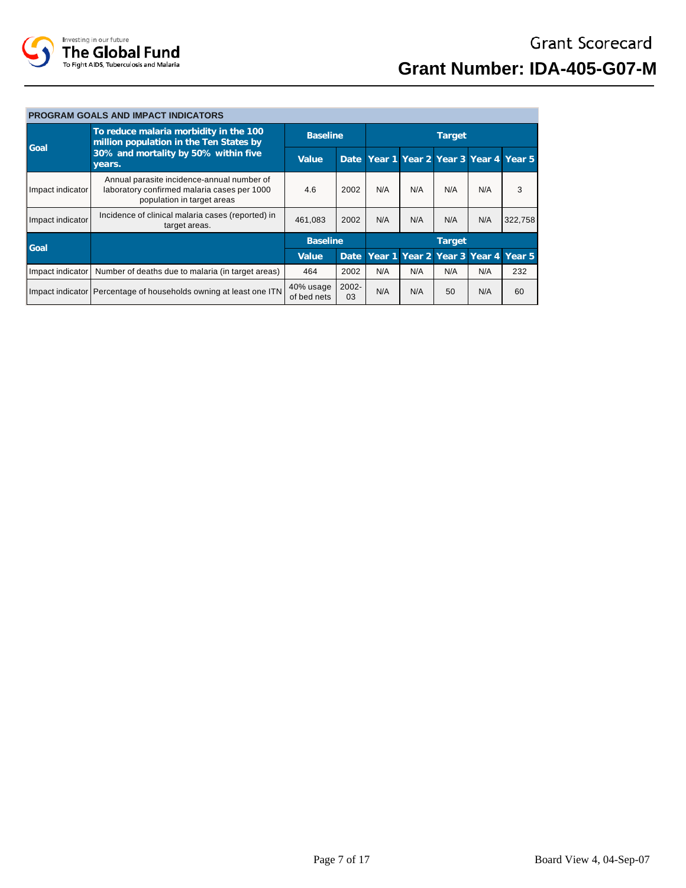

## **PROGRAM GOALS AND IMPACT INDICATORS**

| Goal             | To reduce malaria morbidity in the 100<br>million population in the Ten States by                                       | <b>Baseline</b>          |             | Target |                             |     |     |                                         |
|------------------|-------------------------------------------------------------------------------------------------------------------------|--------------------------|-------------|--------|-----------------------------|-----|-----|-----------------------------------------|
|                  | 30% and mortality by 50% within five<br>years.                                                                          | Value                    |             |        |                             |     |     | Date Year 1 Year 2 Year 3 Year 4 Year 5 |
| Impact indicator | Annual parasite incidence-annual number of<br>laboratory confirmed malaria cases per 1000<br>population in target areas | 4.6                      | 2002        | N/A    | N/A                         | N/A | N/A | 3                                       |
| Impact indicator | Incidence of clinical malaria cases (reported) in<br>target areas.                                                      | 461.083                  | 2002        | N/A    | N/A                         | N/A | N/A | 322,758                                 |
| Goal             |                                                                                                                         | <b>Baseline</b>          |             | Target |                             |     |     |                                         |
|                  |                                                                                                                         | Value                    | Date        |        | Year 1 Year 2 Year 3 Year 4 |     |     | Year <sub>5</sub>                       |
| Impact indicator | Number of deaths due to malaria (in target areas)                                                                       | 464                      | 2002        | N/A    | N/A                         | N/A | N/A | 232                                     |
|                  | Impact indicator Percentage of households owning at least one ITN                                                       | 40% usage<br>of bed nets | 2002-<br>03 | N/A    | N/A                         | 50  | N/A | 60                                      |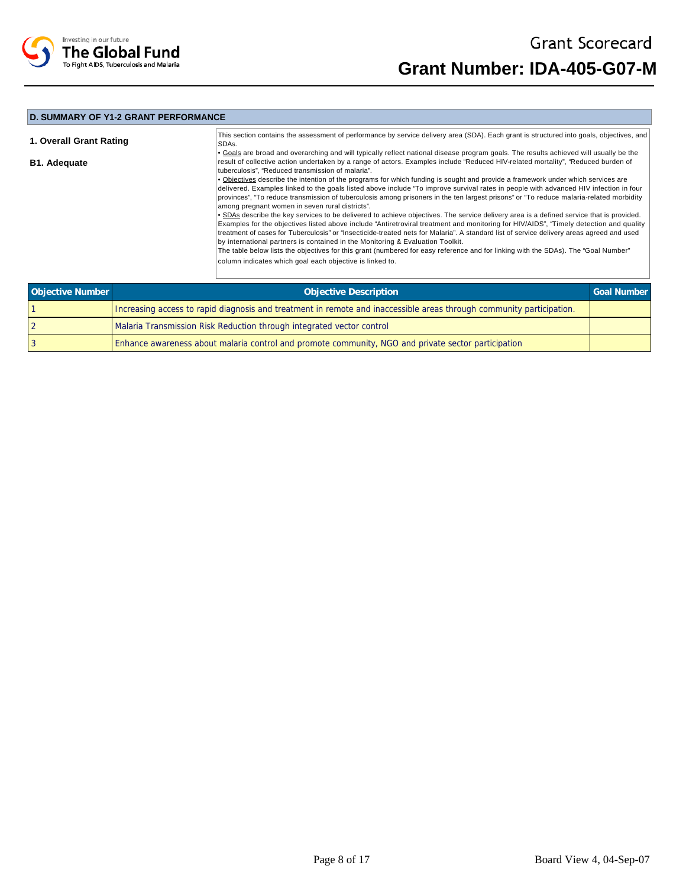

## **D. SUMMARY OF Y1-2 GRANT PERFORMANCE**

| 1. Overall Grant Rating | This section contains the assessment of performance by service delivery area (SDA). Each grant is structured into goals, objectives, and<br>SDAs.                                                                                                                                                                                                                                                                                                                                                                 |
|-------------------------|-------------------------------------------------------------------------------------------------------------------------------------------------------------------------------------------------------------------------------------------------------------------------------------------------------------------------------------------------------------------------------------------------------------------------------------------------------------------------------------------------------------------|
| <b>B1. Adequate</b>     | • Goals are broad and overarching and will typically reflect national disease program goals. The results achieved will usually be the<br>result of collective action undertaken by a range of actors. Examples include "Reduced HIV-related mortality", "Reduced burden of<br>tuberculosis", "Reduced transmission of malaria".                                                                                                                                                                                   |
|                         | • Objectives describe the intention of the programs for which funding is sought and provide a framework under which services are<br>delivered. Examples linked to the goals listed above include "To improve survival rates in people with advanced HIV infection in four<br>provinces", "To reduce transmission of tuberculosis among prisoners in the ten largest prisons" or "To reduce malaria-related morbidity<br>among pregnant women in seven rural districts".                                           |
|                         | • SDAs describe the key services to be delivered to achieve objectives. The service delivery area is a defined service that is provided.<br>Examples for the objectives listed above include "Antiretroviral treatment and monitoring for HIV/AIDS", "Timely detection and quality<br>treatment of cases for Tuberculosis" or "Insecticide-treated nets for Malaria". A standard list of service delivery areas agreed and used<br>by international partners is contained in the Monitoring & Evaluation Toolkit. |
|                         | The table below lists the objectives for this grant (numbered for easy reference and for linking with the SDAs). The "Goal Number"<br>column indicates which goal each objective is linked to.                                                                                                                                                                                                                                                                                                                    |

| Objective Number | <b>Objective Description</b>                                                                                         | Goal Number |
|------------------|----------------------------------------------------------------------------------------------------------------------|-------------|
|                  | Increasing access to rapid diagnosis and treatment in remote and inaccessible areas through community participation. |             |
|                  | Malaria Transmission Risk Reduction through integrated vector control                                                |             |
|                  | Enhance awareness about malaria control and promote community, NGO and private sector participation                  |             |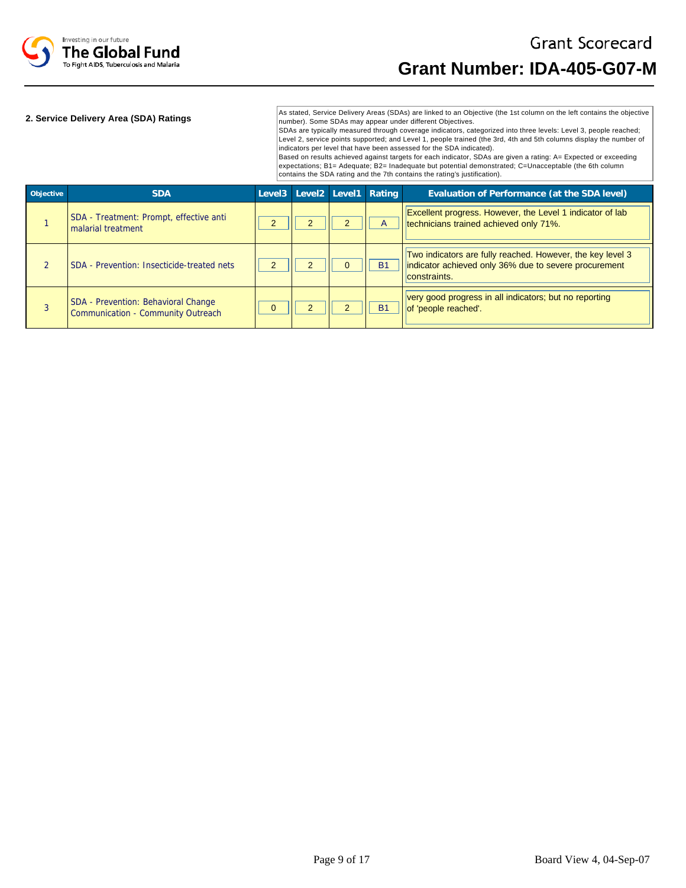

## **2. Service Delivery Area (SDA) Ratings**

As stated, Service Delivery Areas (SDAs) are linked to an Objective (the 1st column on the left contains the objective number). Some SDAs may appear under different Objectives.

SDAs are typically measured through coverage indicators, categorized into three levels: Level 3, people reached; Level 2, service points supported; and Level 1, people trained (the 3rd, 4th and 5th columns display the number of indicators per level that have been assessed for the SDA indicated).

Based on results achieved against targets for each indicator, SDAs are given a rating: A= Expected or exceeding expectations; B1= Adequate; B2= Inadequate but potential demonstrated; C=Unacceptable (the 6th column contains the SDA rating and the 7th contains the rating's justification).

| Objective | <b>SDA</b>                                                                | Level3 Level2 Level1 Rating |              | Evaluation of Performance (at the SDA level)                                                                                        |
|-----------|---------------------------------------------------------------------------|-----------------------------|--------------|-------------------------------------------------------------------------------------------------------------------------------------|
|           | SDA - Treatment: Prompt, effective anti<br>malarial treatment             |                             | $\mathsf{A}$ | Excellent progress. However, the Level 1 indicator of lab<br>technicians trained achieved only 71%.                                 |
|           | SDA - Prevention: Insecticide-treated nets                                |                             | <b>B1</b>    | Two indicators are fully reached. However, the key level 3<br>indicator achieved only 36% due to severe procurement<br>constraints. |
|           | SDA - Prevention: Behavioral Change<br>Communication - Community Outreach |                             | <b>B1</b>    | very good progress in all indicators; but no reporting<br>of 'people reached'.                                                      |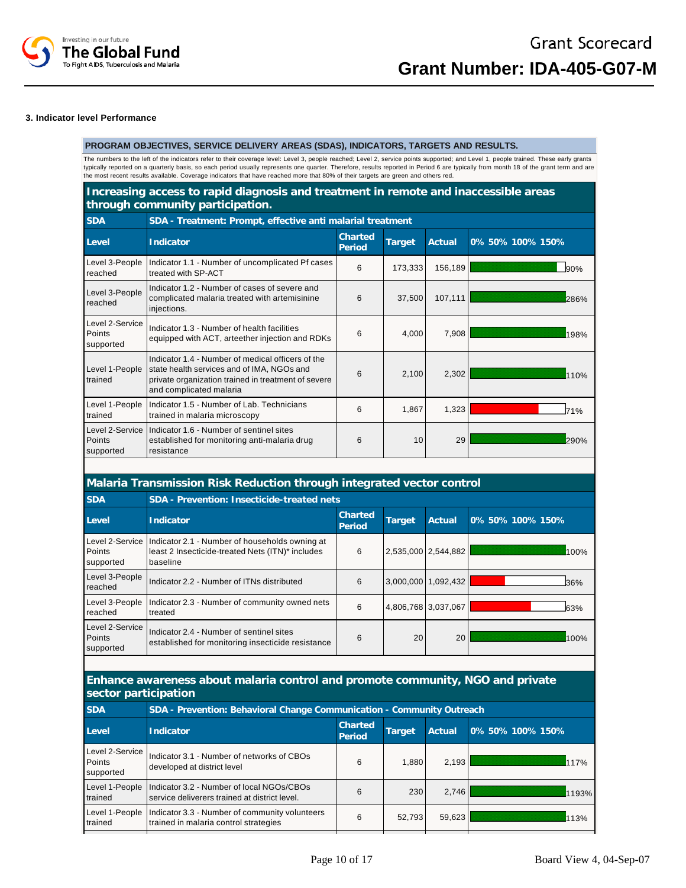

#### **3. Indicator level Performance**

## **PROGRAM OBJECTIVES, SERVICE DELIVERY AREAS (SDAS), INDICATORS, TARGETS AND RESULTS.**

The numbers to the left of the indicators refer to their coverage level: Level 3, people reached; Level 2, service points supported; and Level 1, people trained. These early grants typically reported on a quarterly basis, so each period usually represents one quarter. Therefore, results reported in Period 6 are typically from month 18 of the grant term and are<br>the most recent results available. Cover

## **Increasing access to rapid diagnosis and treatment in remote and inaccessible areas through community participation.**

**SDA SDA - Treatment: Prompt, effective anti malarial treatment**

| Level                                  | Indicator                                                                                                                                                                         | Charted<br>Period | <b>Target</b> | Actual  | 0% 50% 100% 150% |
|----------------------------------------|-----------------------------------------------------------------------------------------------------------------------------------------------------------------------------------|-------------------|---------------|---------|------------------|
| Level 3-People<br>reached              | Indicator 1.1 - Number of uncomplicated Pf cases<br>treated with SP-ACT                                                                                                           | 6                 | 173,333       | 156,189 | 90%              |
| Level 3-People<br>reached              | Indicator 1.2 - Number of cases of severe and<br>complicated malaria treated with artemisinine<br>injections.                                                                     | 6                 | 37,500        | 107,111 | 286%             |
| Level 2-Service<br>Points<br>supported | Indicator 1.3 - Number of health facilities<br>equipped with ACT, arteether injection and RDKs                                                                                    | 6                 | 4,000         | 7,908   | 198%             |
| Level 1-People<br>trained              | Indicator 1.4 - Number of medical officers of the<br>state health services and of IMA, NGOs and<br>private organization trained in treatment of severe<br>and complicated malaria | 6                 | 2,100         | 2,302   | 110%             |
| Level 1-People<br>trained              | Indicator 1.5 - Number of Lab. Technicians<br>trained in malaria microscopy                                                                                                       | 6                 | 1,867         | 1,323   | 71%              |
| Level 2-Service<br>Points<br>supported | Indicator 1.6 - Number of sentinel sites<br>established for monitoring anti-malaria drug<br>resistance                                                                            | 6                 | 10            | 29      | 290%             |

# **Malaria Transmission Risk Reduction through integrated vector control**

| <b>SDA</b>                             | SDA - Prevention: Insecticide-treated nets                                                                     |                          |           |                     |                  |  |  |  |
|----------------------------------------|----------------------------------------------------------------------------------------------------------------|--------------------------|-----------|---------------------|------------------|--|--|--|
| Level                                  | Indicator                                                                                                      | <b>Charted</b><br>Period | Target    | Actual              | 0% 50% 100% 150% |  |  |  |
| Level 2-Service<br>Points<br>supported | Indicator 2.1 - Number of households owning at<br>least 2 Insecticide-treated Nets (ITN)* includes<br>baseline | 6                        |           | 2,535,000 2,544,882 | 100%             |  |  |  |
| Level 3-People<br>reached              | Indicator 2.2 - Number of ITNs distributed                                                                     | 6                        | 3.000.000 | 1.092.432           | 36%              |  |  |  |
| Level 3-People<br>reached              | Indicator 2.3 - Number of community owned nets<br>treated                                                      | 6                        |           | 4.806.768 3.037.067 | 63%              |  |  |  |
| Level 2-Service<br>Points<br>supported | Indicator 2.4 - Number of sentinel sites<br>established for monitoring insecticide resistance                  | 6                        | 20        | 20                  | 100%             |  |  |  |

## **Enhance awareness about malaria control and promote community, NGO and private sector participation**

| <b>SDA</b>                             | SDA - Prevention: Behavioral Change Communication - Community Outreach                     |                   |        |        |                  |  |
|----------------------------------------|--------------------------------------------------------------------------------------------|-------------------|--------|--------|------------------|--|
| Level                                  | Indicator                                                                                  | Charted<br>Period | Target | Actual | 0% 50% 100% 150% |  |
| Level 2-Service<br>Points<br>supported | Indicator 3.1 - Number of networks of CBOs<br>developed at district level                  | 6                 | 1.880  | 2,193  | 117%             |  |
| Level 1-People<br>trained              | Indicator 3.2 - Number of local NGOs/CBOs<br>service deliverers trained at district level. | 6                 | 230    | 2.746  | 1193%            |  |
| Level 1-People<br>trained              | Indicator 3.3 - Number of community volunteers<br>trained in malaria control strategies    | 6                 | 52,793 | 59,623 | 113%             |  |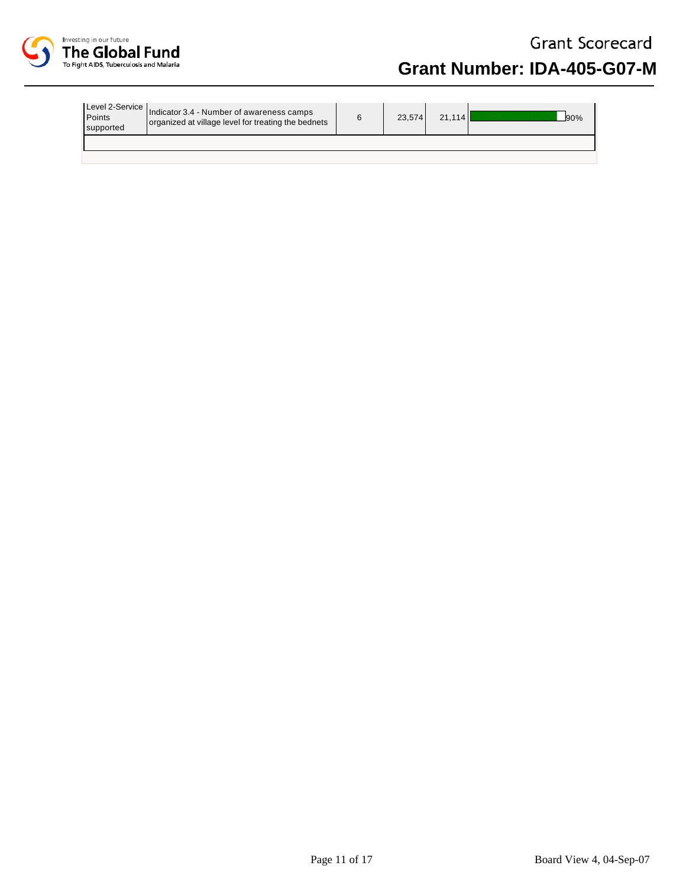

| Points<br>supported | Level 2-Service   Indicator 3.4 - Number of awareness camps<br>organized at village level for treating the bednets | 23.574 | 21.114 | 90% |
|---------------------|--------------------------------------------------------------------------------------------------------------------|--------|--------|-----|
|                     |                                                                                                                    |        |        |     |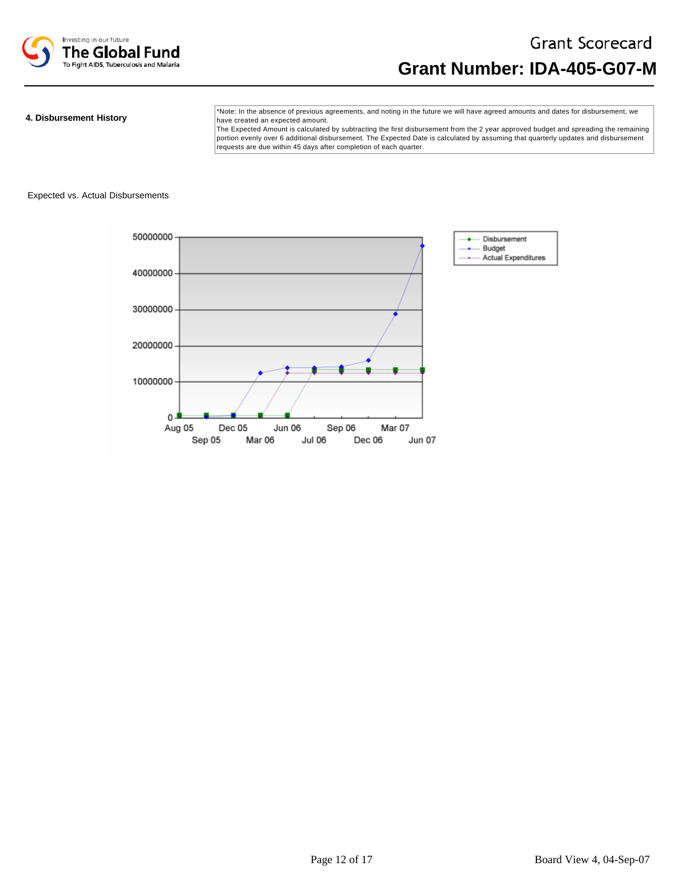

#### **4. Disbursement History**

\*Note: In the absence of previous agreements, and noting in the future we will have agreed amounts and dates for disbursement, we have created an expected amount.

The Expected Amount is calculated by subtracting the first disbursement from the 2 year approved budget and spreading the remaining portion evenly over 6 additional disbursement. The Expected Date is calculated by assuming that quarterly updates and disbursement requests are due within 45 days after completion of each quarter.

#### Expected vs. Actual Disbursements

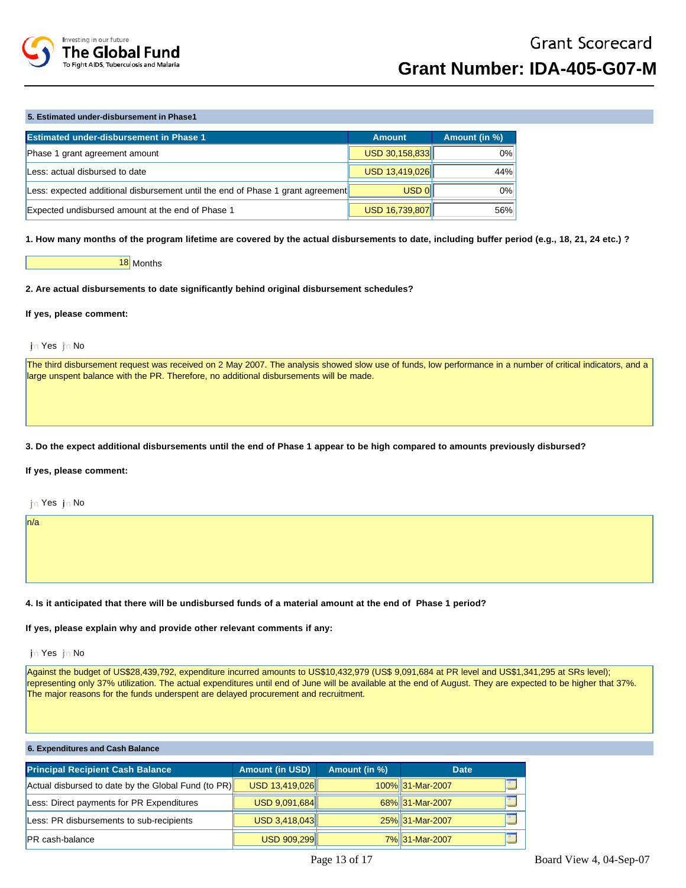

## **5. Estimated under-disbursement in Phase1**

| <b>Estimated under-disbursement in Phase 1</b>                                  | <b>Amount</b>  | Amount (in %) |
|---------------------------------------------------------------------------------|----------------|---------------|
| Phase 1 grant agreement amount                                                  | USD 30,158,833 | $0\%$         |
| Less: actual disbursed to date                                                  | USD 13,419,026 | 44%           |
| Less: expected additional disbursement until the end of Phase 1 grant agreement | $USD$ $0$      | 0%            |
| Expected undisbursed amount at the end of Phase 1                               | USD 16,739,807 | 56%           |

**1. How many months of the program lifetime are covered by the actual disbursements to date, including buffer period (e.g., 18, 21, 24 etc.) ?** 

#### 18 Months

### **2. Are actual disbursements to date significantly behind original disbursement schedules?**

## **If yes, please comment:**

## jn Yes jn No

The third disbursement request was received on 2 May 2007. The analysis showed slow use of funds, low performance in a number of critical indicators, and a large unspent balance with the PR. Therefore, no additional disbursements will be made.

#### **3. Do the expect additional disbursements until the end of Phase 1 appear to be high compared to amounts previously disbursed?**

## **If yes, please comment:**

in Yes in No

n/a

#### **4. Is it anticipated that there will be undisbursed funds of a material amount at the end of Phase 1 period?**

## **If yes, please explain why and provide other relevant comments if any:**

## in Yes in No

Against the budget of US\$28,439,792, expenditure incurred amounts to US\$10,432,979 (US\$ 9,091,684 at PR level and US\$1,341,295 at SRs level); representing only 37% utilization. The actual expenditures until end of June will be available at the end of August. They are expected to be higher that 37%. The major reasons for the funds underspent are delayed procurement and recruitment.

| 6. Expenditures and Cash Balance                    |                        |               |                  |  |  |  |
|-----------------------------------------------------|------------------------|---------------|------------------|--|--|--|
| <b>Principal Recipient Cash Balance</b>             | <b>Amount (in USD)</b> | Amount (in %) | Date:            |  |  |  |
| Actual disbursed to date by the Global Fund (to PR) | USD 13,419,026         |               | 100% 31-Mar-2007 |  |  |  |
| Less: Direct payments for PR Expenditures           | USD 9,091,684          |               | 68% 31-Mar-2007  |  |  |  |
| Less: PR disbursements to sub-recipients            | USD 3,418,043          |               | 25% 31-Mar-2007  |  |  |  |
| PR cash-balance                                     | USD 909,299            |               | 7% 31-Mar-2007   |  |  |  |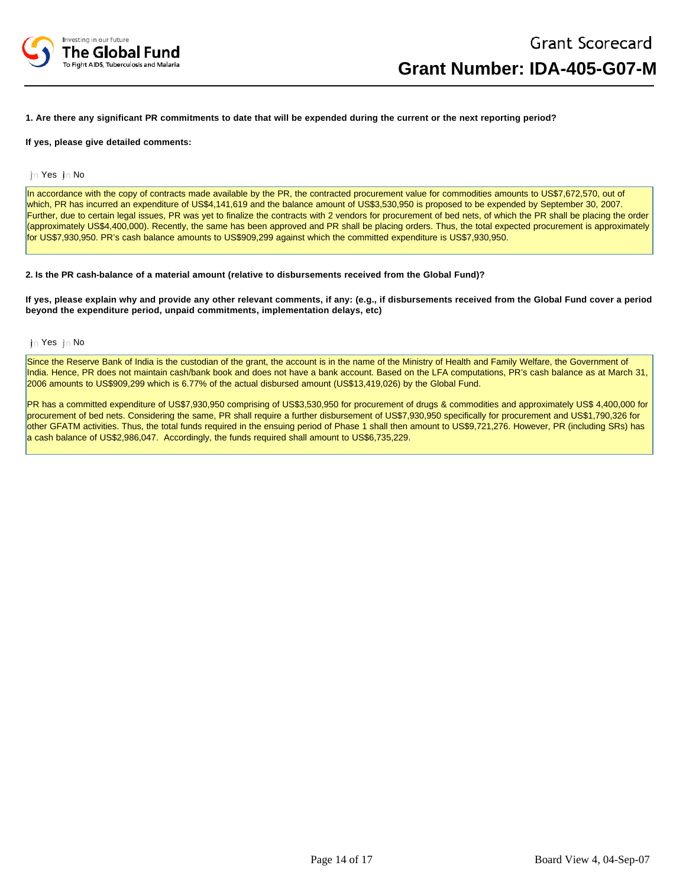

### **1. Are there any significant PR commitments to date that will be expended during the current or the next reporting period?**

#### **If yes, please give detailed comments:**

#### in Yes in No

In accordance with the copy of contracts made available by the PR, the contracted procurement value for commodities amounts to US\$7,672,570, out of which, PR has incurred an expenditure of US\$4,141,619 and the balance amount of US\$3,530,950 is proposed to be expended by September 30, 2007. Further, due to certain legal issues, PR was yet to finalize the contracts with 2 vendors for procurement of bed nets, of which the PR shall be placing the order (approximately US\$4,400,000). Recently, the same has been approved and PR shall be placing orders. Thus, the total expected procurement is approximately for US\$7,930,950. PR's cash balance amounts to US\$909,299 against which the committed expenditure is US\$7,930,950.

#### **2. Is the PR cash-balance of a material amount (relative to disbursements received from the Global Fund)?**

**If yes, please explain why and provide any other relevant comments, if any: (e.g., if disbursements received from the Global Fund cover a period beyond the expenditure period, unpaid commitments, implementation delays, etc)** 

#### in Yes in No

Since the Reserve Bank of India is the custodian of the grant, the account is in the name of the Ministry of Health and Family Welfare, the Government of India. Hence, PR does not maintain cash/bank book and does not have a bank account. Based on the LFA computations, PR's cash balance as at March 31, 2006 amounts to US\$909,299 which is 6.77% of the actual disbursed amount (US\$13,419,026) by the Global Fund.

PR has a committed expenditure of US\$7,930,950 comprising of US\$3,530,950 for procurement of drugs & commodities and approximately US\$ 4,400,000 for procurement of bed nets. Considering the same, PR shall require a further disbursement of US\$7,930,950 specifically for procurement and US\$1,790,326 for other GFATM activities. Thus, the total funds required in the ensuing period of Phase 1 shall then amount to US\$9,721,276. However, PR (including SRs) has a cash balance of US\$2,986,047. Accordingly, the funds required shall amount to US\$6,735,229.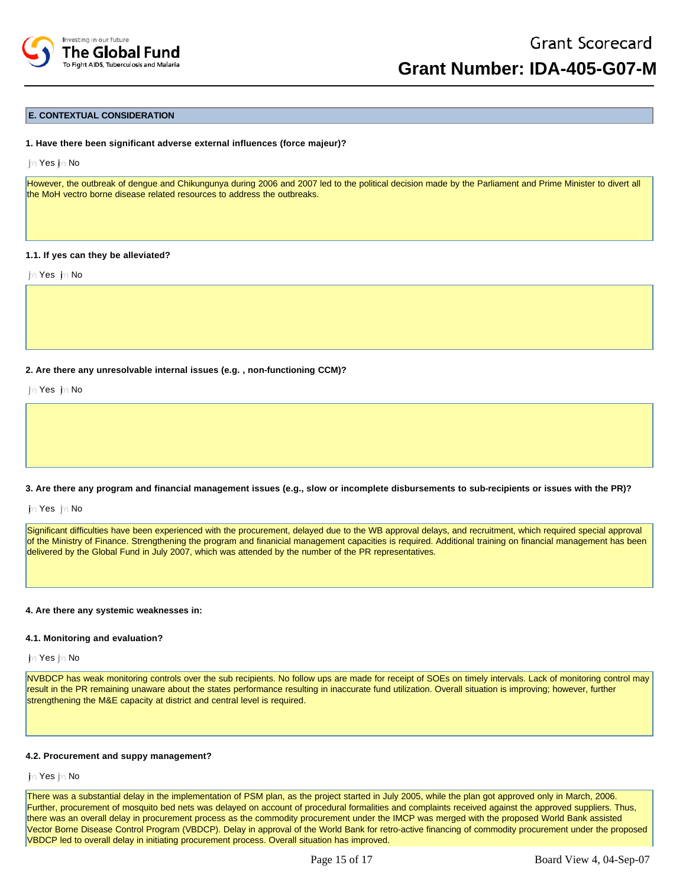

## **E. CONTEXTUAL CONSIDERATION**

#### **1. Have there been significant adverse external influences (force majeur)?**

im Yes in No

However, the outbreak of dengue and Chikungunya during 2006 and 2007 led to the political decision made by the Parliament and Prime Minister to divert all the MoH vectro borne disease related resources to address the outbreaks.

#### **1.1. If yes can they be alleviated?**

in Yes in No

#### **2. Are there any unresolvable internal issues (e.g. , non-functioning CCM)?**

th Yes in No

#### **3. Are there any program and financial management issues (e.g., slow or incomplete disbursements to sub-recipients or issues with the PR)?**

in Yes in No

Significant difficulties have been experienced with the procurement, delayed due to the WB approval delays, and recruitment, which required special approval of the Ministry of Finance. Strengthening the program and finanicial management capacities is required. Additional training on financial management has been delivered by the Global Fund in July 2007, which was attended by the number of the PR representatives.

#### **4. Are there any systemic weaknesses in:**

#### **4.1. Monitoring and evaluation?**

jn Yes jn No

NVBDCP has weak monitoring controls over the sub recipients. No follow ups are made for receipt of SOEs on timely intervals. Lack of monitoring control may result in the PR remaining unaware about the states performance resulting in inaccurate fund utilization. Overall situation is improving; however, further strengthening the M&E capacity at district and central level is required.

#### **4.2. Procurement and suppy management?**

im Yes im No

There was a substantial delay in the implementation of PSM plan, as the project started in July 2005, while the plan got approved only in March, 2006. Further, procurement of mosquito bed nets was delayed on account of procedural formalities and complaints received against the approved suppliers. Thus, there was an overall delay in procurement process as the commodity procurement under the IMCP was merged with the proposed World Bank assisted Vector Borne Disease Control Program (VBDCP). Delay in approval of the World Bank for retro-active financing of commodity procurement under the proposed VBDCP led to overall delay in initiating procurement process. Overall situation has improved.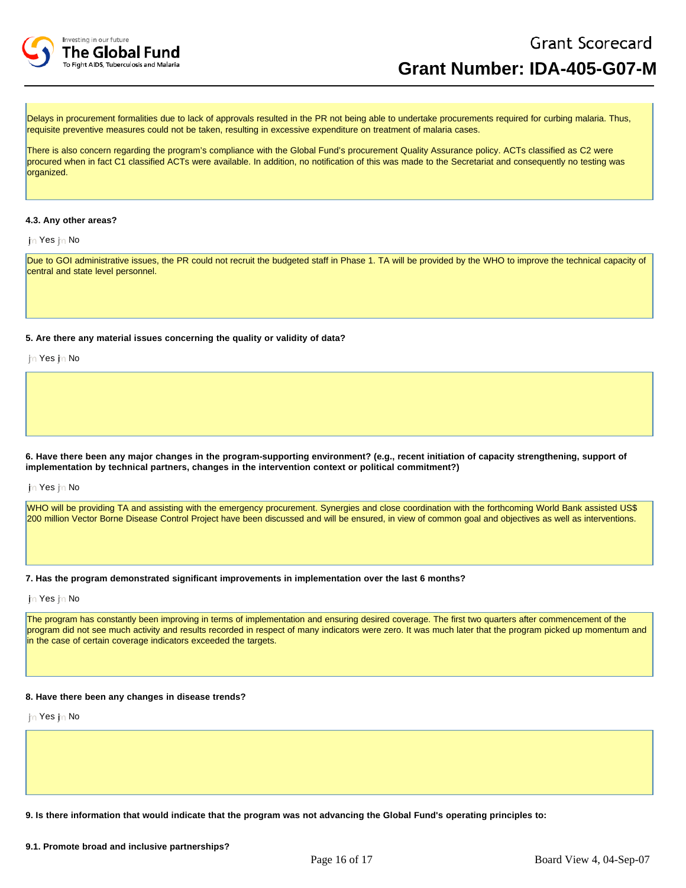

Delays in procurement formalities due to lack of approvals resulted in the PR not being able to undertake procurements required for curbing malaria. Thus, requisite preventive measures could not be taken, resulting in excessive expenditure on treatment of malaria cases.

There is also concern regarding the program's compliance with the Global Fund's procurement Quality Assurance policy. ACTs classified as C2 were procured when in fact C1 classified ACTs were available. In addition, no notification of this was made to the Secretariat and consequently no testing was organized.

## **4.3. Any other areas?**

jin Yes jin No

Due to GOI administrative issues, the PR could not recruit the budgeted staff in Phase 1. TA will be provided by the WHO to improve the technical capacity of central and state level personnel.

**5. Are there any material issues concerning the quality or validity of data?**

im Yes im No

**6. Have there been any major changes in the program-supporting environment? (e.g., recent initiation of capacity strengthening, support of implementation by technical partners, changes in the intervention context or political commitment?)**

jn Yes jn No

WHO will be providing TA and assisting with the emergency procurement. Synergies and close coordination with the forthcoming World Bank assisted US\$ 200 million Vector Borne Disease Control Project have been discussed and will be ensured, in view of common goal and objectives as well as interventions.

**7. Has the program demonstrated significant improvements in implementation over the last 6 months?**

jn Yes jn No

The program has constantly been improving in terms of implementation and ensuring desired coverage. The first two quarters after commencement of the program did not see much activity and results recorded in respect of many indicators were zero. It was much later that the program picked up momentum and in the case of certain coverage indicators exceeded the targets.

## **8. Have there been any changes in disease trends?**

in Yes in No

**9. Is there information that would indicate that the program was not advancing the Global Fund's operating principles to:**